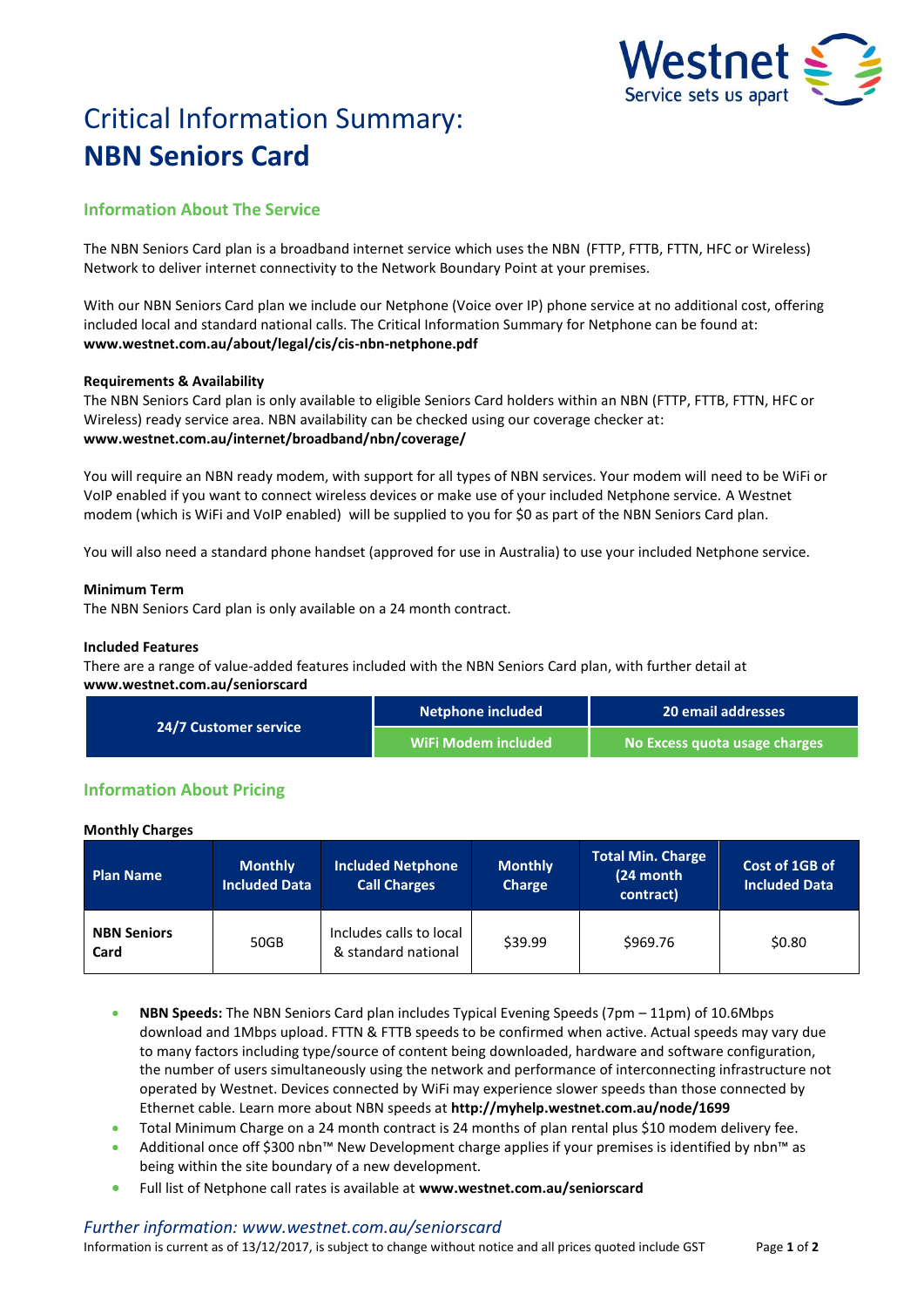

# Critical Information Summary: **NBN Seniors Card**

# **Information About The Service**

The NBN Seniors Card plan is a broadband internet service which uses the NBN (FTTP, FTTB, FTTN, HFC or Wireless) Network to deliver internet connectivity to the Network Boundary Point at your premises.

With our NBN Seniors Card plan we include our Netphone (Voice over IP) phone service at no additional cost, offering included local and standard national calls. The Critical Information Summary for Netphone can be found at: **www.westnet.com.au/about/legal/cis/cis-nbn-netphone.pdf**

# **Requirements & Availability**

The NBN Seniors Card plan is only available to eligible Seniors Card holders within an NBN (FTTP, FTTB, FTTN, HFC or Wireless) ready service area. NBN availability can be checked using our coverage checker at: **www.westnet.com.au/internet/broadband/nbn/coverage/**

You will require an NBN ready modem, with support for all types of NBN services. Your modem will need to be WiFi or VoIP enabled if you want to connect wireless devices or make use of your included Netphone service. A Westnet modem (which is WiFi and VoIP enabled) will be supplied to you for \$0 as part of the NBN Seniors Card plan.

You will also need a standard phone handset (approved for use in Australia) to use your included Netphone service.

# **Minimum Term**

The NBN Seniors Card plan is only available on a 24 month contract.

## **Included Features**

There are a range of value-added features included with the NBN Seniors Card plan, with further detail at **www.westnet.com.au/seniorscard**

| <b>24/7 Customer service</b> | Netphone included   | 20 email addresses            |  |
|------------------------------|---------------------|-------------------------------|--|
|                              | WiFi Modem included | No Excess quota usage charges |  |

# **Information About Pricing**

#### **Monthly Charges**

| <b>Plan Name</b>           | <b>Monthly</b><br><b>Included Data</b> | <b>Included Netphone</b><br><b>Call Charges</b> | <b>Monthly</b><br><b>Charge</b> | Total Min. Charge<br>(24 month<br>contract) | Cost of 1GB of<br><b>Included Data</b> |
|----------------------------|----------------------------------------|-------------------------------------------------|---------------------------------|---------------------------------------------|----------------------------------------|
| <b>NBN Seniors</b><br>Card | 50GB                                   | Includes calls to local<br>& standard national  | \$39.99                         | \$969.76                                    | \$0.80                                 |

- **NBN Speeds:** The NBN Seniors Card plan includes Typical Evening Speeds (7pm 11pm) of 10.6Mbps download and 1Mbps upload. FTTN & FTTB speeds to be confirmed when active. Actual speeds may vary due to many factors including type/source of content being downloaded, hardware and software configuration, the number of users simultaneously using the network and performance of interconnecting infrastructure not operated by Westnet. Devices connected by WiFi may experience slower speeds than those connected by Ethernet cable. Learn more about NBN speeds at **http://myhelp.westnet.com.au/node/1699**
- Total Minimum Charge on a 24 month contract is 24 months of plan rental plus \$10 modem delivery fee.
- Additional once off \$300 nbn™ New Development charge applies if your premises is identified by nbn™ as being within the site boundary of a new development.
- Full list of Netphone call rates is available at **www.westnet.com.au/seniorscard**

#### *Further information: www.westnet.com.au/seniorscard*

Information is current as of 13/12/2017, is subject to change without notice and all prices quoted include GST Page **1** of **2**